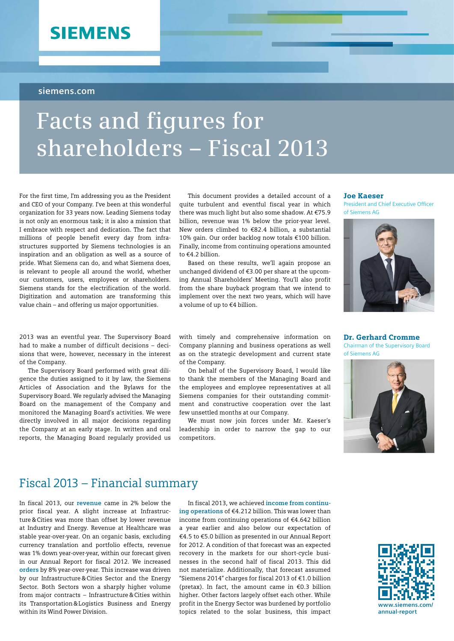## **SIEMENS**

#### **siemens.com**

# **Facts and figures for shareholders – Fiscal 2013**

For the first time, I'm addressing you as the President and CEO of your Company. I've been at this wonderful organization for 33 years now. Leading Siemens today is not only an enormous task; it is also a mission that I embrace with respect and dedication. The fact that millions of people benefit every day from infrastructures supported by Siemens technologies is an inspiration and an obligation as well as a source of pride. What Siemens can do, and what Siemens does, is relevant to people all around the world, whether our customers, users, employees or shareholders. Siemens stands for the electrification of the world. Digitization and automation are transforming this value chain – and offering us major opportunities.

2013 was an eventful year. The Supervisory Board had to make a number of difficult decisions – decisions that were, however, necessary in the interest of the Company.

The Supervisory Board performed with great diligence the duties assigned to it by law, the Siemens Articles of Association and the Bylaws for the Supervisory Board. We regularly advised the Managing Board on the management of the Company and monitored the Managing Board's activities. We were directly involved in all major decisions regarding the Company at an early stage. In written and oral reports, the Managing Board regularly provided us

This document provides a detailed account of a quite turbulent and eventful fiscal year in which there was much light but also some shadow. At €75.9 billion, revenue was 1% below the prior-year level. New orders climbed to €82.4 billion, a substantial 10% gain. Our order backlog now totals €100 billion. Finally, income from continuing operations amounted to  $f$ 4.2 billion

Based on these results, we'll again propose an unchanged dividend of €3.00 per share at the upcoming Annual Shareholders' Meeting. You'll also profit from the share buyback program that we intend to implement over the next two years, which will have a volume of up to €4 billion.

with timely and comprehensive information on Company planning and business operations as well as on the strategic development and current state of the Company.

On behalf of the Supervisory Board, I would like to thank the members of the Managing Board and the employees and employee representatives at all Siemens companies for their outstanding commitment and constructive cooperation over the last few unsettled months at our Company.

We must now join forces under Mr. Kaeser's leadership in order to narrow the gap to our competitors.

#### Joe Kaeser

President and Chief Executive Officer of Siemens AG



Dr. Gerhard Cromme Chairman of the Supervisory Board



## Fiscal 2013 – Financial summary

In fiscal 2013, our **revenue** came in 2% below the prior fiscal year. A slight increase at Infrastructure&Cities was more than offset by lower revenue at Industry and Energy. Revenue at Healthcare was stable year-over-year. On an organic basis, excluding currency translation and portfolio effects, revenue was 1% down year-over-year, within our forecast given in our Annual Report for fiscal 2012. We increased **orders** by 8% year-over-year. This increase was driven by our Infrastructure&Cities Sector and the Energy Sector. Both Sectors won a sharply higher volume from major contracts – Infrastructure&Cities within its Transportation&Logistics Business and Energy within its Wind Power Division.

In fiscal 2013, we achieved **income from continuing operations** of €4.212 billion. This was lower than income from continuing operations of €4.642 billion a year earlier and also below our expectation of €4.5 to €5.0 billion as presented in our Annual Report for 2012. A condition of that forecast was an expected recovery in the markets for our short-cycle businesses in the second half of fiscal 2013. This did not materialize. Additionally, that forecast assumed "Siemens 2014" charges for fiscal 2013 of €1.0 billion (pretax). In fact, the amount came in €0.3 billion higher. Other factors largely offset each other. While profit in the Energy Sector was burdened by portfolio topics related to the solar business, this impact

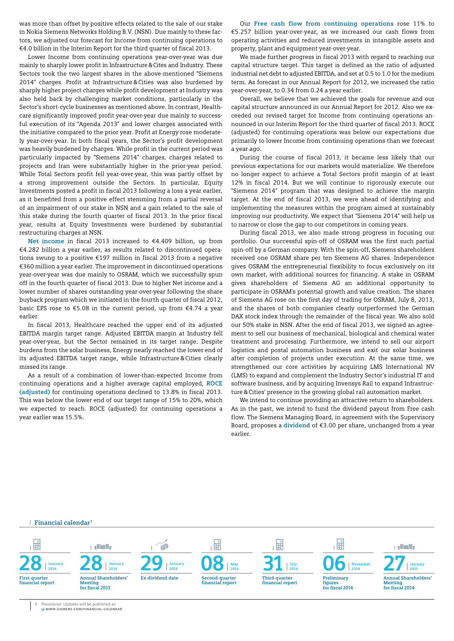was more than offset by positive effects related to the sale of our stake in Nokia Siemens Networks Holding B.V. (NSN). Due mainly to these factors, we adjusted our forecast for Income from continuing operations to €4.0 billion in the Interim Report for the third quarter of fiscal 2013.

Lower Income from continuing operations year-over-year was due mainly to sharply lower profit in Infrastructure&Cites and Industry. These Sectors took the two largest shares in the above-mentioned "Siemens 2014" charges. Profit at Infrastructure&Cities was also burdened by sharply higher project charges while profit development at Industry was also held back by challenging market conditions, particularly in the Sector's short-cycle businesses as mentioned above. In contrast, Healthcare significantly improved profit year-over-year due mainly to successful execution of its "Agenda 2013" and lower charges associated with the initiative compared to the prior year. Profit at Energy rose moderately year-over-year. In both fiscal years, the Sector's profit development was heavily burdened by charges. While profit in the current period was particularly impacted by "Siemens 2014" charges, charges related to projects and Iran were substantially higher in the prior-year period. While Total Sectors profit fell year-over-year, this was partly offset by a strong improvement outside the Sectors. In particular, Equity Investments posted a profit in fiscal 2013 following a loss a year earlier, as it benefited from a positive effect stemming from a partial reversal of an impairment of our stake in NSN and a gain related to the sale of this stake during the fourth quarter of fiscal 2013. In the prior fiscal year, results at Equity Investments were burdened by substantial restructuring charges at NSN.

**Net income** in fiscal 2013 increased to €4.409 billion, up from €4.282 billion a year earlier, as results related to discontinued operations swung to a positive €197 million in fiscal 2013 from a negative €360 million a year earlier. The improvement in discontinued operations year-over-year was due mainly to OSRAM, which we successfully spun off in the fourth quarter of fiscal 2013. Due to higher Net income and a lower number of shares outstanding year-over-year following the share buyback program which we initiated in the fourth quarter of fiscal 2012, basic EPS rose to  $\epsilon$ 5.08 in the current period, up from  $\epsilon$ 4.74 a year earlier.

In fiscal 2013, Healthcare reached the upper end of its adjusted EBITDA margin target range. Adjusted EBITDA margin at Industry fell year-over-year, but the Sector remained in its target range. Despite burdens from the solar business, Energy nearly reached the lower end of its adjusted EBITDA target range, while Infrastructure&Cities clearly missed its range.

As a result of a combination of lower-than-expected Income from continuing operations and a higher average capital employed, **ROCE (adjusted)** for continuing operations declined to 13.8% in fiscal 2013. This was below the lower end of our target range of 15% to 20%, which we expected to reach. ROCE (adjusted) for continuing operations a year earlier was 15.5%.

Our **Free cash flow from continuing operations** rose 11% to €5.257 billion year-over-year, as we increased our cash flows from operating activities and reduced investments in intangible assets and property, plant and equipment year-over-year.

We made further progress in fiscal 2013 with regard to reaching our capital structure target. This target is defined as the ratio of adjusted industrial net debt to adjusted EBITDA, and set at 0.5 to 1.0 for the medium term. As forecast in our Annual Report for 2012, we increased the ratio year-over-year, to 0.34 from 0.24 a year earlier.

Overall, we believe that we achieved the goals for revenue and our capital structure announced in our Annual Report for 2012. Also we exceeded our revised target for Income from continuing operations announced in our Interim Report for the third quarter of fiscal 2013. ROCE (adjusted) for continuing operations was below our expectations due primarily to lower Income from continuing operations than we forecast a year ago.

During the course of fiscal 2013, it became less likely that our previous expectations for our markets would materialize. We therefore no longer expect to achieve a Total Sectors profit margin of at least 12% in fiscal 2014. But we will continue to rigorously execute our "Siemens 2014" program that was designed to achieve the margin target. At the end of fiscal 2013, we were ahead of identifying and implementing the measures within the program aimed at sustainably improving our productivity. We expect that "Siemens 2014" will help us to narrow or close the gap to our competitors in coming years.

During fiscal 2013, we also made strong progress in focusing our portfolio. Our successful spin-off of OSRAM was the first such partial spin-off by a German company. With the spin-off, Siemens shareholders received one OSRAM share per ten Siemens AG shares. Independence gives OSRAM the entrepreneurial flexibility to focus exclusively on its own market, with additional sources for financing. A stake in OSRAM gives shareholders of Siemens AG an additional opportunity to participate in OSRAM's potential growth and value creation. The shares of Siemens AG rose on the first day of trading for OSRAM, July 8, 2013, and the shares of both companies clearly outperformed the German DAX stock index through the remainder of the fiscal year. We also sold our 50% stake in NSN. After the end of fiscal 2013, we signed an agreement to sell our business of mechanical, biological and chemical water treatment and processing. Furthermore, we intend to sell our airport logistics and postal automation business and exit our solar business after completion of projects under execution. At the same time, we strengthened our core activities by acquiring LMS International NV (LMS) to expand and complement the Industry Sector's industrial IT and software business, and by acquiring Invensys Rail to expand Infrastructure&Cities' presence in the growing global rail automation market.

We intend to continue providing an attractive return to shareholders. As in the past, we intend to fund the dividend payout from Free cash flow. The Siemens Managing Board, in agreement with the Supervisory Board, proposes a **dividend** of €3.00 per share, unchanged from a year earlier.

**Financial calendar <sup>1</sup>**



**1** Provisional. Updates will be published at:<br>WWW.SIEMENS.COM/FINANCIAL-CALENDAR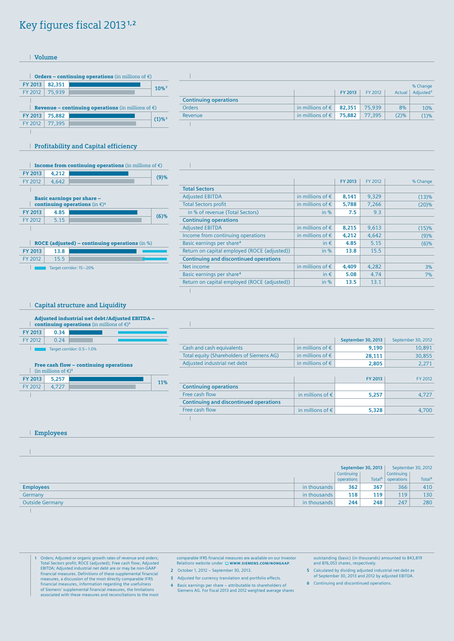## Key figures fiscal 2013**1,2**

**Volume**



|                              |                                    |         |         |        | % Change              |
|------------------------------|------------------------------------|---------|---------|--------|-----------------------|
|                              |                                    | FY 2013 | FY 2012 | Actual | Adjusted <sup>3</sup> |
| <b>Continuing operations</b> |                                    |         |         |        |                       |
| <b>Orders</b>                | in millions of $\epsilon$   82,351 |         | 75,939  | 8%     | 10%                   |
| Revenue                      | in millions of $\epsilon$   75,882 |         | 77.395  | (2)%   | (1)%                  |
|                              |                                    |         |         |        |                       |

#### **Profitability and Capital efficiency**

continuing operations (in €)**<sup>4</sup>**

Target corridor: 15-20%

**FY 2013 13.8** FY 2012 15.5

 $\overline{\phantom{a}}$ 

 $\overline{1}$ 

| <b>Income from continuing operations</b> (in millions of $\epsilon$ ) |       |                            |  |
|-----------------------------------------------------------------------|-------|----------------------------|--|
| FY 2013                                                               | 4,212 |                            |  |
| FY 2012                                                               | 4.642 |                            |  |
|                                                                       |       |                            |  |
|                                                                       |       | Basic earnings per share - |  |

**FY 2013 4.85 (6)%**<br>FY 2012 5.15 **CONSERVERGENCE** 

| ROCE (adjusted) – continuing operations  $(in %)$ 

|                                               |                           | FY 2013 | FY 2012 | % Change |
|-----------------------------------------------|---------------------------|---------|---------|----------|
| <b>Total Sectors</b>                          |                           |         |         |          |
| <b>Adjusted EBITDA</b>                        | in millions of $\epsilon$ | 8,141   | 9,329   | (13)%    |
| <b>Total Sectors profit</b>                   | in millions of $\epsilon$ | 5,788   | 7,266   | (20)%    |
| in % of revenue (Total Sectors)               | in $%$                    | 7.5     | 9.3     |          |
| <b>Continuing operations</b>                  |                           |         |         |          |
| <b>Adjusted EBITDA</b>                        | in millions of $\epsilon$ | 8,215   | 9,613   | (15)%    |
| Income from continuing operations             | in millions of $\epsilon$ | 4,212   | 4,642   | (9)%     |
| Basic earnings per share <sup>4</sup>         | in $\epsilon$             | 4.85    | 5.15    | (6)%     |
| Return on capital employed (ROCE (adjusted))  | in $%$                    | 13.8    | 15.5    |          |
| <b>Continuing and discontinued operations</b> |                           |         |         |          |
| Net income                                    | in millions of $\epsilon$ | 4,409   | 4,282   | 3%       |
| Basic earnings per share <sup>4</sup>         | in $\epsilon$             | 5.08    | 4.74    | 7%       |
| Return on capital employed (ROCE (adjusted))  | in $%$                    | 13.5    | 13.1    |          |

**Capital structure and Liquidity**

|                |      | Adjusted industrial net debt/Adjusted EBITDA -<br>continuing operations (in millions of $\epsilon$ ) <sup>5</sup> |
|----------------|------|-------------------------------------------------------------------------------------------------------------------|
| <b>EV 2013</b> | በ 34 |                                                                                                                   |

| FY 2013   | 34 |  |
|-----------|----|--|
| $EV$ 2012 |    |  |

Target corridor: 0.5-1.0%  $\mathbf{1}$ 

#### Free cash flow – continuing operations

| (in millions of $\epsilon$ ) <sup>5</sup> |       |  |  |
|-------------------------------------------|-------|--|--|
| FY 2013                                   | 5,257 |  |  |
| FY 2012                                   |       |  |  |
|                                           |       |  |  |

|                                               |                           | <b>September 30, 2013</b> | September 30, 2012 |
|-----------------------------------------------|---------------------------|---------------------------|--------------------|
| Cash and cash equivalents                     | in millions of $\epsilon$ | 9,190                     | 10,891             |
| Total equity (Shareholders of Siemens AG)     | in millions of $\epsilon$ | 28,111                    | 30,855             |
| Adjusted industrial net debt                  | in millions of $\epsilon$ | 2,805                     | 2,271              |
|                                               |                           |                           |                    |
|                                               |                           | FY 2013                   | FY 2012            |
| <b>Continuing operations</b>                  |                           |                           |                    |
| Free cash flow                                | in millions of $\epsilon$ | 5.257                     | 4.727              |
| <b>Continuing and discontinued operations</b> |                           |                           |                    |
| Free cash flow                                | in millions of $\epsilon$ | 5,328                     | 4.700              |

 $\overline{1}$ 

**Employees**

|                        |              |                            | September 30, 2013 |                                               | September 30, 2012 |
|------------------------|--------------|----------------------------|--------------------|-----------------------------------------------|--------------------|
|                        |              | Continuing  <br>operations |                    | Continuing<br>Total <sup>6</sup>   operations | Total <sup>6</sup> |
| <b>Employees</b>       | in thousands | 362                        | 367                | 366                                           | 410                |
| Germany                | in thousands | 118                        | 119                | 119                                           | 130                |
| <b>Outside Germany</b> | in thousands | 244                        | 248                | 247                                           | 280                |

**1** Orders; Adjusted or organic growth rates of revenue and orders; Total Sectors profit; ROCE (adjusted); Free cash flow; Adjusted EBITDA; Adjusted industrial net debt are or may be non-GAAP financial measures. Definitions of these supplemental financial measures, a discussion of the most directly comparable IFRS financial measures, information regarding the usefulness of Siemens' supplemental financial measures, the limitations associated with these measures and reconciliations to the most comparable IFRS financial measures are available on our Investor Relations website under WWW.SIEMENS.COM/NONGAAP

**2** October 1, 2012 – September 30, 2013.

**3** Adjusted for currency translation and portfolio effects.

**4** Basic earnings per share – attributable to shareholders of Siemens AG. For fiscal 2013 and 2012 weighted average shares outstanding (basic) (in thousands) amounted to 843,819 and 876,053 shares, respectively.

**5** Calculated by dividing adjusted industrial net debt as of September 30, 2013 and 2012 by adjusted EBITDA.

**6** Continuing and discontinued operations.